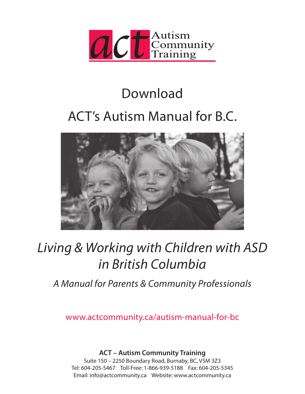

## Download

# ACT's Autism Manual for B.C.



# *Living & Working with Children with ASD in British Columbia*

*A Manual for Parents & Community Professionals*

www.actcommunity.ca/autism-manual-for-bc

**ACT – Autism Community Training**

Suite 150 – 2250 Boundary Road, Burnaby, BC, V5M 3Z3 Tel: 604-205-5467 Toll-Free: 1-866-939-5188 Fax: 604-205-5345 Email: info@actcommunity.ca Website: www.actcommunity.ca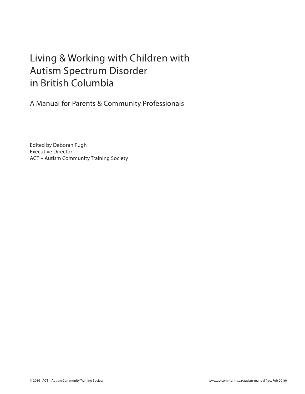## Living & Working with Children with Autism Spectrum Disorder in British Columbia

A Manual for Parents & Community Professionals

Edited by Deborah Pugh Executive Director ACT – Autism Community Training Society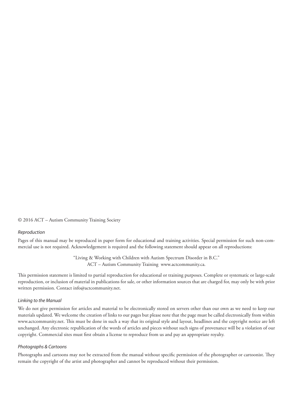© 2016 ACT – Autism Community Training Society

#### *Reproduction*

Pages of this manual may be reproduced in paper form for educational and training activities. Special permission for such non-commercial use is not required. Acknowledgement is required and the following statement should appear on all reproductions:

> "Living & Working with Children with Autism Spectrum Disorder in B.C." ACT – Autism Community Training www.actcommunity.ca.

This permission statement is limited to partial reproduction for educational or training purposes. Complete or systematic or large-scale reproduction, or inclusion of material in publications for sale, or other information sources that are charged for, may only be with prior written permission. Contact info@actcommunity.net.

#### *Linking to the Manual*

We do not give permission for articles and material to be electronically stored on servers other than our own as we need to keep our materials updated. We welcome the creation of links to our pages but please note that the page must be called electronically from within www.actcommunity.net. This must be done in such a way that its original style and layout, headlines and the copyright notice are left unchanged. Any electronic republication of the words of articles and pieces without such signs of provenance will be a violation of our copyright. Commercial sites must first obtain a license to reproduce from us and pay an appropriate royalty.

#### *Photographs & Cartoons*

Photographs and cartoons may not be extracted from the manual without specific permission of the photographer or cartoonist. They remain the copyright of the artist and photographer and cannot be reproduced without their permission.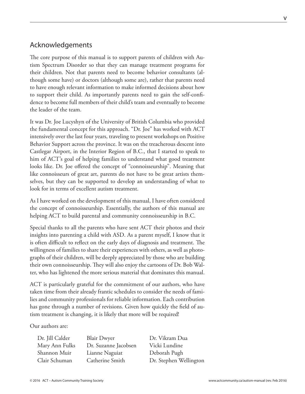#### Acknowledgements

The core purpose of this manual is to support parents of children with Autism Spectrum Disorder so that they can manage treatment programs for their children. Not that parents need to become behavior consultants (although some have) or doctors (although some are), rather that parents need to have enough relevant information to make informed decisions about how to support their child. As importantly parents need to gain the self-confidence to become full members of their child's team and eventually to become the leader of the team.

It was Dr. Joe Lucyshyn of the University of British Columbia who provided the fundamental concept for this approach. "Dr. Joe" has worked with ACT intensively over the last four years, traveling to present workshops on Positive Behavior Support across the province. It was on the treacherous descent into Castlegar Airport, in the Interior Region of B.C., that I started to speak to him of ACT's goal of helping families to understand what good treatment looks like. Dr. Joe offered the concept of "connoisseurship". Meaning that like connoisseurs of great art, parents do not have to be great artists themselves, but they can be supported to develop an understanding of what to look for in terms of excellent autism treatment.

As I have worked on the development of this manual, I have often considered the concept of connoisseurship. Essentially, the authors of this manual are helping ACT to build parental and community connoisseurship in B.C.

Special thanks to all the parents who have sent ACT their photos and their insights into parenting a child with ASD. As a parent myself, I know that it is often difficult to reflect on the early days of diagnosis and treatment. The willingness of families to share their experiences with others, as well as photographs of their children, will be deeply appreciated by those who are building their own connoisseurship. They will also enjoy the cartoons of Dr. Bob Walter, who has lightened the more serious material that dominates this manual.

ACT is particularly grateful for the commitment of our authors, who have taken time from their already frantic schedules to consider the needs of families and community professionals for reliable information. Each contribution has gone through a number of revisions. Given how quickly the field of autism treatment is changing, it is likely that more will be required!

Our authors are:

| Dr. Jill Calder |   |
|-----------------|---|
| Mary Ann Fulks  | Г |
| Shannon Muir    | L |
| Clair Schuman   | C |

Blair Dwyer Dr. Vikram Dua Dr. Suzanne Jacobsen Vicki Lundine Shannon Muir Lianne Naguiat Deborah Pugh

Catherine Smith Dr. Stephen Wellington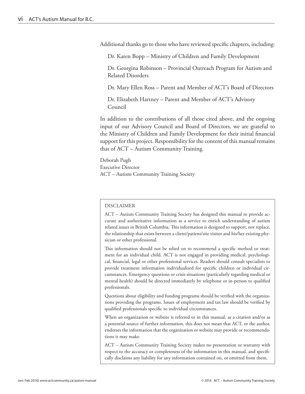Additional thanks go to those who have reviewed specific chapters, including:

Dr. Karen Bopp – Ministry of Children and Family Development

Dr. Georgina Robinson – Provincial Outreach Program for Autism and Related Disorders

Dr. Mary Ellen Ross – Parent and Member of ACT's Board of Directors

Dr. Elizabeth Hartney – Parent and Member of ACT's Advisory Council

In addition to the contributions of all those cited above, and the ongoing input of our Advisory Council and Board of Directors, we are grateful to the Ministry of Children and Family Development for their initial financial support for this project. Responsibility for the content of this manual remains that of ACT – Autism Community Training.

Deborah Pugh Executive Director ACT – Autism Community Training Society

#### DISCLAIMER

ACT – Autism Community Training Society has designed this manual to provide accurate and authoritative information as a service to enrich understanding of autism related issues in British Columbia. This information is designed to support, not replace, the relationship that exists between a client/patient/site visitor and his/her existing physician or other professional.

This information should not be relied on to recommend a specific method or treatment for an individual child. ACT is not engaged in providing medical, psychological, financial, legal or other professional services. Readers should consult specialists to provide treatment information individualized for specific children or individual circumstances. Emergency questions or crisis situations (particularly regarding medical or mental health) should be directed immediately by telephone or in-person to qualified professionals.

Questions about eligibility and funding programs should be verified with the organizations providing the programs. Issues of employment and tax law should be verified by qualified professionals specific to individual circumstances.

When an organization or website is referred to in this manual, as a citation and/or as a potential source of further information, this does not mean that ACT, or the author, endorses the information that the organization or website may provide or recommendations it may make.

ACT – Autism Community Training Society makes no presentation or warranty with respect to the accuracy or completeness of the information in this manual, and specifically disclaims any liability for any information contained on, or omitted from them.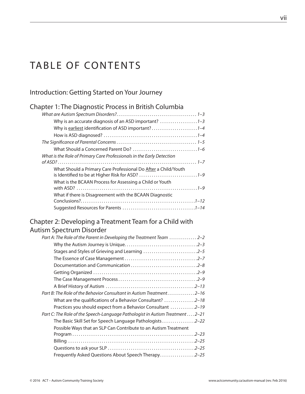## TABLE OF CONTENTS

#### Introduction: Getting Started on Your Journey

| <b>Chapter 1: The Diagnostic Process in British Columbia</b>          |  |
|-----------------------------------------------------------------------|--|
|                                                                       |  |
|                                                                       |  |
| Why is earliest identification of ASD important?1-4                   |  |
|                                                                       |  |
|                                                                       |  |
|                                                                       |  |
| What is the Role of Primary Care Professionals in the Early Detection |  |
|                                                                       |  |
| What Should a Primary Care Professional Do After a Child/Youth        |  |
| is Identified to be at Higher Risk for ASD? 1-9                       |  |
| What is the BCAAN Process for Assessing a Child or Youth              |  |
|                                                                       |  |
| What if there is Disagreement with the BCAAN Diagnostic               |  |
|                                                                       |  |
|                                                                       |  |

#### Chapter 2: Developing a Treatment Team for a Child with Autism Spectrum Disorder

| Part A: The Role of the Parent in Developing the Treatment Team  2-2          |
|-------------------------------------------------------------------------------|
|                                                                               |
| Stages and Styles of Grieving and Learning 2-5                                |
|                                                                               |
|                                                                               |
|                                                                               |
|                                                                               |
|                                                                               |
| Part B: The Role of the Behavior Consultant in Autism Treatment2–16           |
| What are the qualifications of a Behavior Consultant? 2-18                    |
| Practices you should expect from a Behavior Consultant 2-19                   |
| Part C: The Role of the Speech-Language Pathologist in Autism Treatment  2-21 |
| The Basic Skill Set for Speech Language Pathologists2-22                      |
| Possible Ways that an SLP Can Contribute to an Autism Treatment               |
|                                                                               |
|                                                                               |
|                                                                               |
| Frequently Asked Questions About Speech Therapy2-25                           |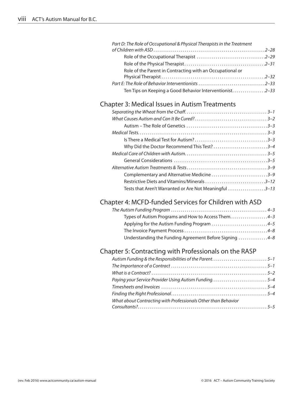| Part D: The Role of Occupational & Physical Therapists in the Treatment |  |
|-------------------------------------------------------------------------|--|
|                                                                         |  |
|                                                                         |  |
|                                                                         |  |
| Role of the Parent in Contracting with an Occupational or               |  |
|                                                                         |  |
|                                                                         |  |
| Ten Tips on Keeping a Good Behavior Interventionist2-33                 |  |

#### Chapter 3: Medical Issues in Autism Treatments

| Complementary and Alternative Medicine3-9              |  |
|--------------------------------------------------------|--|
| Restrictive Diets and Vitamins/Minerals 3-12           |  |
| Tests that Aren't Warranted or Are Not Meaningful 3-13 |  |
|                                                        |  |

#### Chapter 4: MCFD-funded Services for Children with ASD

| Types of Autism Programs and How to Access Them4-3     |  |
|--------------------------------------------------------|--|
| Applying for the Autism Funding Program 4-5            |  |
|                                                        |  |
| Understanding the Funding Agreement Before Signing 4-8 |  |

## Chapter 5: Contracting with Professionals on the RASP

| Paying your Service Provider Using Autism Funding5-4          |  |
|---------------------------------------------------------------|--|
|                                                               |  |
|                                                               |  |
| What about Contracting with Professionals Other than Behavior |  |
|                                                               |  |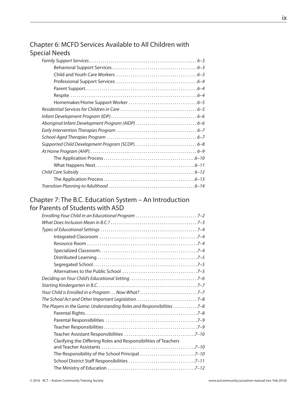#### Chapter 6: MCFD Services Available to All Children with Special Needs

### Chapter 7: The B.C. Education System – An Introduction

#### for Parents of Students with ASD

| The Players in the Game: Understanding Roles and Responsibilities  7-8 |  |
|------------------------------------------------------------------------|--|
|                                                                        |  |
|                                                                        |  |
|                                                                        |  |
|                                                                        |  |
| Clarifying the Differing Roles and Responsibilities of Teachers        |  |
|                                                                        |  |
|                                                                        |  |
|                                                                        |  |
|                                                                        |  |
|                                                                        |  |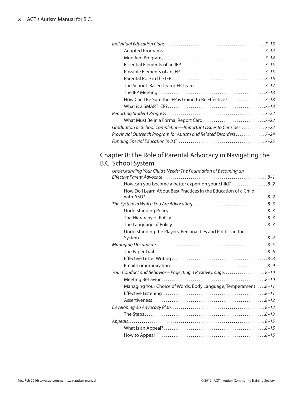| How Can I Be Sure the IEP is Going to Be Effective? 7-18          |  |
|-------------------------------------------------------------------|--|
|                                                                   |  |
|                                                                   |  |
|                                                                   |  |
| Graduation or School Completion—Important Issues to Consider 7-23 |  |
| Provincial Outreach Program for Autism and Related Disorders7-24  |  |
|                                                                   |  |
|                                                                   |  |

#### Chapter 8: The Role of Parental Advocacy in Navigating the B.C. School System

| Understanding Your Child's Needs: The Foundation of Becoming an |  |
|-----------------------------------------------------------------|--|
|                                                                 |  |
| How can you become a better expert on your child? 8-2           |  |
| How Do I Learn About Best Practices in the Education of a Child |  |
|                                                                 |  |
|                                                                 |  |
|                                                                 |  |
|                                                                 |  |
|                                                                 |  |
| Understanding the Players, Personalities and Politics in the    |  |
|                                                                 |  |
|                                                                 |  |
|                                                                 |  |
|                                                                 |  |
|                                                                 |  |
| Your Conduct and Behavior - Projecting a Positive Image8-10     |  |
|                                                                 |  |
| Managing Your Choice of Words, Body Language, Temperament8-11   |  |
|                                                                 |  |
|                                                                 |  |
|                                                                 |  |
|                                                                 |  |
|                                                                 |  |
|                                                                 |  |
|                                                                 |  |
|                                                                 |  |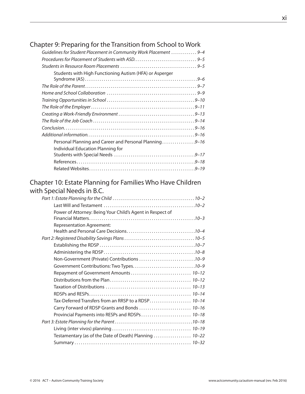#### Chapter 9: Preparing for the Transition from School to Work

| Guidelines for Student Placement in Community Work Placement  9-4 |  |
|-------------------------------------------------------------------|--|
|                                                                   |  |
|                                                                   |  |
| Students with High Functioning Autism (HFA) or Asperger           |  |
|                                                                   |  |
|                                                                   |  |
|                                                                   |  |
|                                                                   |  |
|                                                                   |  |
|                                                                   |  |
|                                                                   |  |
|                                                                   |  |
| Personal Planning and Career and Personal Planning9-16            |  |
| Individual Education Planning for                                 |  |
|                                                                   |  |
|                                                                   |  |
|                                                                   |  |

#### Chapter 10: Estate Planning for Families Who Have Children with Special Needs in B.C.

| Power of Attorney: Being Your Child's Agent in Respect of |  |
|-----------------------------------------------------------|--|
|                                                           |  |
| <b>Representation Agreement:</b>                          |  |
|                                                           |  |
|                                                           |  |
|                                                           |  |
|                                                           |  |
|                                                           |  |
|                                                           |  |
|                                                           |  |
|                                                           |  |
|                                                           |  |
|                                                           |  |
| Tax-Deferred Transfers from an RRSP to a RDSP 10-14       |  |
| Carry Forward of RDSP Grants and Bonds  10-16             |  |
| Provincial Payments into RESPs and RDSPs 10-18            |  |
|                                                           |  |
|                                                           |  |
| Testamentary (as of the Date of Death) Planning  10-22    |  |
|                                                           |  |
|                                                           |  |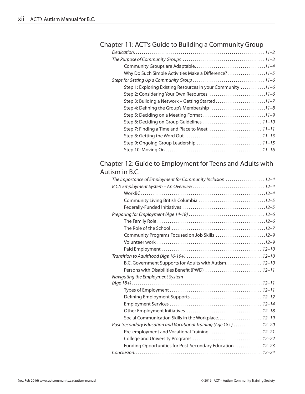### Chapter 11: ACT's Guide to Building a Community Group

#### Chapter 12: Guide to Employment for Teens and Adults with Autism in B.C.

| The Importance of Employment for Community Inclusion 12-4        |  |
|------------------------------------------------------------------|--|
|                                                                  |  |
|                                                                  |  |
|                                                                  |  |
|                                                                  |  |
|                                                                  |  |
|                                                                  |  |
|                                                                  |  |
| Community Programs Focused on Job Skills 12-9                    |  |
|                                                                  |  |
|                                                                  |  |
|                                                                  |  |
| B.C. Government Supports for Adults with Autism 12-10            |  |
| Persons with Disabilities Benefit (PWD)  12-11                   |  |
| Navigating the Employment System                                 |  |
|                                                                  |  |
|                                                                  |  |
|                                                                  |  |
|                                                                  |  |
|                                                                  |  |
| Social Communication Skills in the Workplace 12-19               |  |
| Post-Secondary Education and Vocational Training (Age 18+) 12-20 |  |
| Pre-employment and Vocational Training  12-21                    |  |
|                                                                  |  |
| Funding Opportunities for Post-Secondary Education  12-23        |  |
|                                                                  |  |